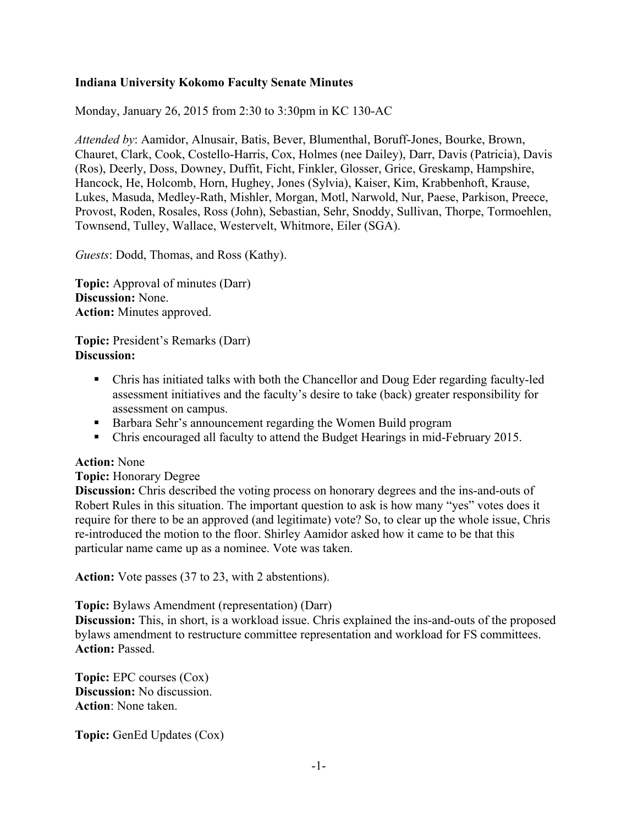## **Indiana University Kokomo Faculty Senate Minutes**

Monday, January 26, 2015 from 2:30 to 3:30pm in KC 130-AC

*Attended by*: Aamidor, Alnusair, Batis, Bever, Blumenthal, Boruff-Jones, Bourke, Brown, Chauret, Clark, Cook, Costello-Harris, Cox, Holmes (nee Dailey), Darr, Davis (Patricia), Davis (Ros), Deerly, Doss, Downey, Duffit, Ficht, Finkler, Glosser, Grice, Greskamp, Hampshire, Hancock, He, Holcomb, Horn, Hughey, Jones (Sylvia), Kaiser, Kim, Krabbenhoft, Krause, Lukes, Masuda, Medley-Rath, Mishler, Morgan, Motl, Narwold, Nur, Paese, Parkison, Preece, Provost, Roden, Rosales, Ross (John), Sebastian, Sehr, Snoddy, Sullivan, Thorpe, Tormoehlen, Townsend, Tulley, Wallace, Westervelt, Whitmore, Eiler (SGA).

*Guests*: Dodd, Thomas, and Ross (Kathy).

**Topic:** Approval of minutes (Darr) **Discussion:** None. **Action:** Minutes approved.

**Topic:** President's Remarks (Darr) **Discussion:** 

- Chris has initiated talks with both the Chancellor and Doug Eder regarding faculty-led assessment initiatives and the faculty's desire to take (back) greater responsibility for assessment on campus.
- **Barbara Sehr's announcement regarding the Women Build program**
- Chris encouraged all faculty to attend the Budget Hearings in mid-February 2015.

## **Action:** None

## **Topic:** Honorary Degree

**Discussion:** Chris described the voting process on honorary degrees and the ins-and-outs of Robert Rules in this situation. The important question to ask is how many "yes" votes does it require for there to be an approved (and legitimate) vote? So, to clear up the whole issue, Chris re-introduced the motion to the floor. Shirley Aamidor asked how it came to be that this particular name came up as a nominee. Vote was taken.

**Action:** Vote passes (37 to 23, with 2 abstentions).

**Topic:** Bylaws Amendment (representation) (Darr)

**Discussion:** This, in short, is a workload issue. Chris explained the ins-and-outs of the proposed bylaws amendment to restructure committee representation and workload for FS committees. **Action:** Passed.

**Topic:** EPC courses (Cox) **Discussion:** No discussion. **Action**: None taken.

**Topic:** GenEd Updates (Cox)